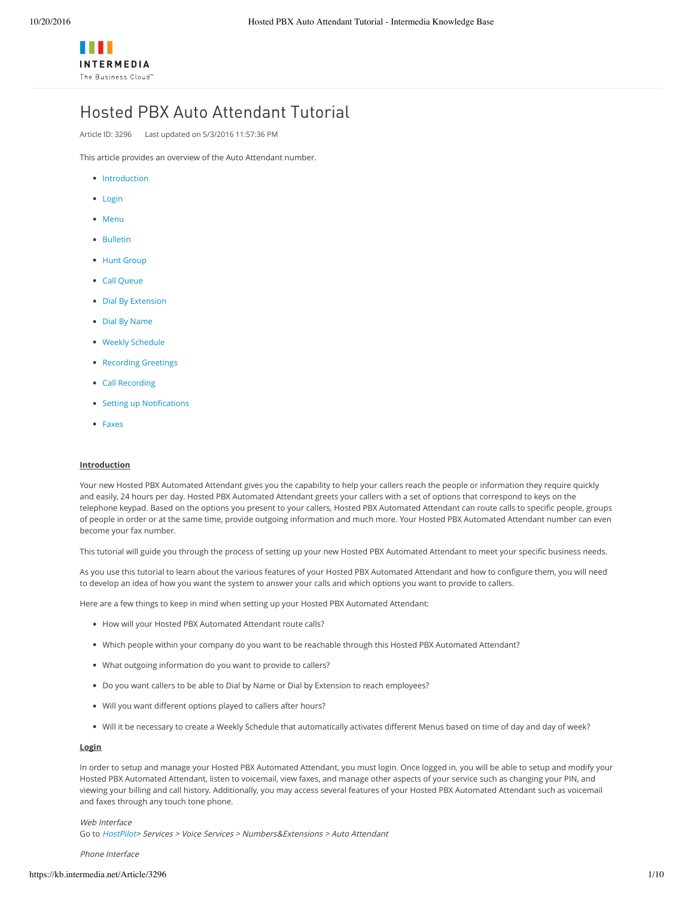# Hosted PBX Auto Attendant Tutorial

Article ID: 3296 Last updated on 5/3/2016 11:57:36 PM

This article provides an overview of the Auto Attendant number.

- [Introduction](https://kb.intermedia.net/Article/3296##Introduction)
- [Login](https://kb.intermedia.net/Article/3296##Login)
- [Menu](https://kb.intermedia.net/Article/3296##Menu)
- [Bulletin](https://kb.intermedia.net/Article/3296##Bulletin)
- Hunt [Group](https://kb.intermedia.net/Article/3296##HuntGroup)
- Call [Queue](https://kb.intermedia.net/Article/3296##CallQueue)
- Dial By [Extension](https://kb.intermedia.net/Article/3296##DialByExtension)
- Dial By [Name](https://kb.intermedia.net/Article/3296##DialByName)
- Weekly [Schedule](https://kb.intermedia.net/Article/3296##WeeklySchedule)
- [Recording](https://kb.intermedia.net/Article/3296##RecordingGreetings) Greetings
- Call [Recording](https://kb.intermedia.net/Article/3296##CallRecording)
- Setting up [Notifications](https://kb.intermedia.net/Article/3296##Notifications)
- [Faxes](https://kb.intermedia.net/Article/3296##Faxes)

## **Introduction**

Your new Hosted PBX Automated Attendant gives you the capability to help your callers reach the people or information they require quickly and easily, 24 hours per day. Hosted PBX Automated Attendant greets your callers with a set of options that correspond to keys on the telephone keypad. Based on the options you present to your callers, Hosted PBX Automated Attendant can route calls to specific people, groups of people in order or at the same time, provide outgoing information and much more. Your Hosted PBX Automated Attendant number can even become your fax number.

This tutorial will guide you through the process of setting up your new Hosted PBX Automated Attendant to meet your specific business needs.

As you use this tutorial to learn about the various features of your Hosted PBX Automated Attendant and how to configure them, you will need to develop an idea of how you want the system to answer your calls and which options you want to provide to callers.

Here are a few things to keep in mind when setting up your Hosted PBX Automated Attendant:

- How will your Hosted PBX Automated Attendant route calls?
- Which people within your company do you want to be reachable through this Hosted PBX Automated Attendant?
- What outgoing information do you want to provide to callers?
- Do you want callers to be able to Dial by Name or Dial by Extension to reach employees?
- Will you want different options played to callers after hours?
- Will it be necessary to create a Weekly Schedule that automatically activates different Menus based on time of day and day of week?

## **Login**

In order to setup and manage your Hosted PBX Automated Attendant, you must login. Once logged in, you will be able to setup and modify your Hosted PBX Automated Attendant, listen to voicemail, view faxes, and manage other aspects of your service such as changing your PIN, and viewing your billing and call history. Additionally, you may access several features of your Hosted PBX Automated Attendant such as voicemail and faxes through any touch tone phone.

#### Web Interface

Go to [HostPilot](https://hosting.intermedia.net/)> Services <sup>&</sup>gt; Voice Services <sup>&</sup>gt; Numbers&Extensions <sup>&</sup>gt; Auto Attendant

#### Phone Interface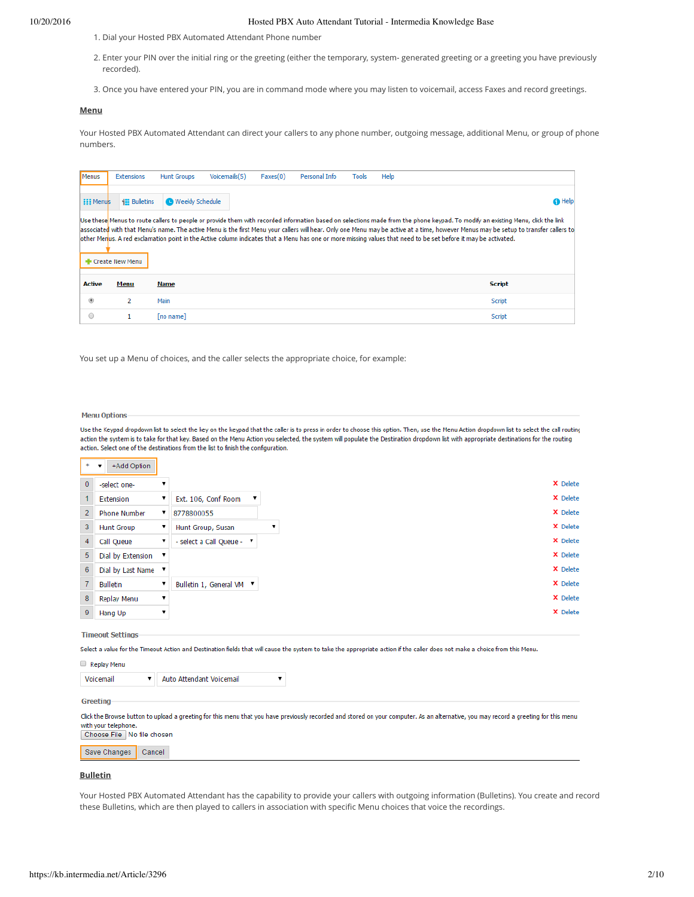- 1. Dial your Hosted PBX Automated Attendant Phone number
- 2. Enter your PIN over the initial ring or the greeting (either the temporary, system- generated greeting or a greeting you have previously recorded).
- 3. Once you have entered your PIN, you are in command mode where you may listen to voicemail, access Faxes and record greetings.

# **Menu**

Your Hosted PBX Automated Attendant can direct your callers to any phone number, outgoing message, additional Menu, or group of phone numbers.

| Menus            | <b>Extensions</b>   | <b>Hunt Groups</b>       | Voicemails(5) | Faxes(0) | Personal Info | <b>Tools</b> | Help |                                                                                                                                                                                                                                                                                                                                                                                                                                                                                                                                           |
|------------------|---------------------|--------------------------|---------------|----------|---------------|--------------|------|-------------------------------------------------------------------------------------------------------------------------------------------------------------------------------------------------------------------------------------------------------------------------------------------------------------------------------------------------------------------------------------------------------------------------------------------------------------------------------------------------------------------------------------------|
| <b>EEE Menus</b> | <b>EE</b> Bulletins | <b>O</b> Weekly Schedule |               |          |               |              |      | <b>n</b> Help                                                                                                                                                                                                                                                                                                                                                                                                                                                                                                                             |
|                  | Create New Menu     |                          |               |          |               |              |      | Use these Menus to route callers to people or provide them with recorded information based on selections made from the phone keypad. To modify an existing Menu, click the link<br>associated with that Menu's name. The active Menu is the first Menu your callers will hear. Only one Menu may be active at a time, however Menus may be setup to transfer callers to<br>other Menus. A red exclamation point in the Active column indicates that a Menu has one or more missing values that need to be set before it may be activated. |
| <b>Active</b>    | Menu                | Name                     |               |          |               |              |      | <b>Script</b>                                                                                                                                                                                                                                                                                                                                                                                                                                                                                                                             |
| $\circledcirc$   | 2                   | Main                     |               |          |               |              |      | Script                                                                                                                                                                                                                                                                                                                                                                                                                                                                                                                                    |
| $\circ$          |                     | [no name]                |               |          |               |              |      | <b>Script</b>                                                                                                                                                                                                                                                                                                                                                                                                                                                                                                                             |

You set up a Menu of choices, and the caller selects the appropriate choice, for example:

#### **Menu Options**

Use the Keypad dropdown list to select the key on the keypad that the caller is to press in order to choose this option. Then, use the Menu Action dropdown list to select the call routing action the system is to take for that key. Based on the Menu Action you selected, the system will populate the Destination dropdown list with appropriate destinations for the routing action. Select one of the destinations from the list to finish the configuration.

|                | $*$ $\mathbf{v}$<br>+Add Option |   |                           |  |
|----------------|---------------------------------|---|---------------------------|--|
| $\bf{0}$       | -select one-                    | ▼ |                           |  |
|                | Extension                       | ▼ | Ext. 106, Conf Room<br>,  |  |
| $\overline{2}$ | <b>Phone Number</b>             | ▼ | 8778800055                |  |
| 3              | <b>Hunt Group</b>               |   | Hunt Group, Susan         |  |
| $\overline{4}$ | Call Queue                      | ▼ | - select a Call Queue - " |  |
| $\overline{5}$ | Dial by Extension ▼             |   |                           |  |
| 6              | Dial by Last Name ▼             |   |                           |  |
| $\overline{7}$ | <b>Bulletin</b>                 |   | Bulletin 1, General VM ▼  |  |
| 8              | Replay Menu                     | ▼ |                           |  |
| $\overline{9}$ | Hang Up                         | ▼ |                           |  |

# **Timeout Settings**

Replay Menu

Select a value for the Timeout Action and Destination fields that will cause the system to take the appropriate action if the caller does not make a choice from this Menu.

| Voicemail | Auto Attendant Voicemail |  |
|-----------|--------------------------|--|
|           |                          |  |

Greeting

Click the Browse button to upload a greeting for this menu that you have previously recorded and stored on your computer. As an alternative, you may record a greeting for this menu with your telephone.<br>Choose File No file chosen

Save Changes | Cancel

## **Bulletin**

Your Hosted PBX Automated Attendant has the capability to provide your callers with outgoing information (Bulletins). You create and record these Bulletins, which are then played to callers in association with specific Menu choices that voice the recordings.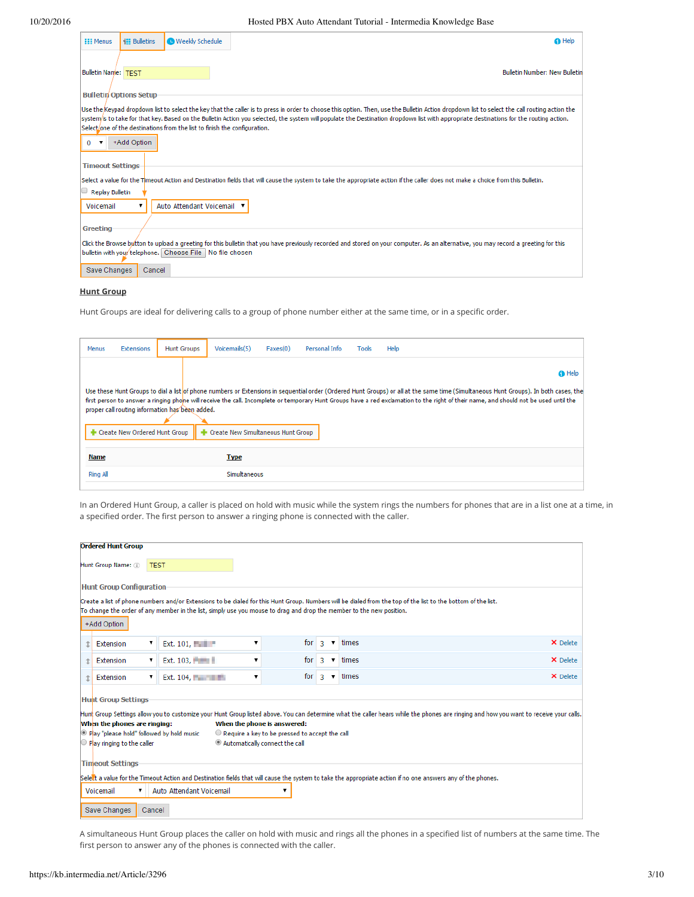| <b>EEE Menus</b>                                                | <b>IEE</b> Bulletins                         | <b>O</b> Weekly Schedule                                                  | <b>G</b> Help                                                                                                                                                                                                                                                                                                                                                                           |
|-----------------------------------------------------------------|----------------------------------------------|---------------------------------------------------------------------------|-----------------------------------------------------------------------------------------------------------------------------------------------------------------------------------------------------------------------------------------------------------------------------------------------------------------------------------------------------------------------------------------|
| <b>Bulletin Name: TEST</b>                                      |                                              |                                                                           | <b>Bulletin Number: New Bulletin</b>                                                                                                                                                                                                                                                                                                                                                    |
| $\bf{0}$<br>$\overline{\phantom{a}}$<br><b>Timeout Settings</b> | <b>Bulletin</b> Options Setup<br>+Add Option | Select/one of the destinations from the list to finish the configuration. | Use the Keypad dropdown list to select the key that the caller is to press in order to choose this option. Then, use the Bulletin Action dropdown list to select the call routing action the<br>system/is to take for that key. Based on the Bulletin Action you selected, the system will populate the Destination dropdown list with appropriate destinations for the routing action. |
| <b>Replay Bulletin</b><br>Voicemail                             |                                              | Auto Attendant Voicemail ▼                                                | Select a value for the Timeout Action and Destination fields that will cause the system to take the appropriate action if the caller does not make a choice from this Bulletin.                                                                                                                                                                                                         |
| Greeting<br>Save Changes                                        | Cancel                                       | bulletin with your telephone. Choose File No file chosen                  | Click the Browse button to upload a greeting for this bulletin that you have previously recorded and stored on your computer. As an alternative, you may record a greeting for this                                                                                                                                                                                                     |

# **Hunt Group**

Hunt Groups are ideal for delivering calls to a group of phone number either at the same time, or in a specific order.

| Menus           | Extensions                    | <b>Hunt Groups</b>                              | Voicemails(5)                      | Faxes(0) | Personal Info | <b>Tools</b> | Help                                                                                                                                                                                                                                                                                                                                                                          |
|-----------------|-------------------------------|-------------------------------------------------|------------------------------------|----------|---------------|--------------|-------------------------------------------------------------------------------------------------------------------------------------------------------------------------------------------------------------------------------------------------------------------------------------------------------------------------------------------------------------------------------|
|                 |                               |                                                 |                                    |          |               |              | <b>O</b> Help                                                                                                                                                                                                                                                                                                                                                                 |
|                 | Create New Ordered Hunt Group | proper call routing information has been added. | Create New Simultaneous Hunt Group |          |               |              | Use these Hunt Groups to dial a list of phone numbers or Extensions in sequential order (Ordered Hunt Groups) or all at the same time (Simultaneous Hunt Groups). In both cases, the<br>first person to answer a ringing phone will receive the call. Incomplete or temporary Hunt Groups have a red exclamation to the right of their name, and should not be used until the |
| Name            |                               |                                                 | <b>Type</b>                        |          |               |              |                                                                                                                                                                                                                                                                                                                                                                               |
| <b>Ring All</b> |                               |                                                 | Simultaneous                       |          |               |              |                                                                                                                                                                                                                                                                                                                                                                               |

In an Ordered Hunt Group, a caller is placed on hold with music while the system rings the numbers for phones that are in a list one at a time, in a specified order. The first person to answer a ringing phone is connected with the caller.

|                         | <b>Ordered Hunt Group</b>                                                                                                                                                                                                                                                                                                                                                                                                                                               |        |                                                                                                                      |   |                    |                    |                                                                                                                                                               |          |  |  |  |  |
|-------------------------|-------------------------------------------------------------------------------------------------------------------------------------------------------------------------------------------------------------------------------------------------------------------------------------------------------------------------------------------------------------------------------------------------------------------------------------------------------------------------|--------|----------------------------------------------------------------------------------------------------------------------|---|--------------------|--------------------|---------------------------------------------------------------------------------------------------------------------------------------------------------------|----------|--|--|--|--|
|                         | Hunt Group Name: (ii)<br><b>TEST</b>                                                                                                                                                                                                                                                                                                                                                                                                                                    |        |                                                                                                                      |   |                    |                    |                                                                                                                                                               |          |  |  |  |  |
|                         | <b>Hunt Group Configuration</b>                                                                                                                                                                                                                                                                                                                                                                                                                                         |        |                                                                                                                      |   |                    |                    |                                                                                                                                                               |          |  |  |  |  |
|                         | +Add Option                                                                                                                                                                                                                                                                                                                                                                                                                                                             |        | To change the order of any member in the list, simply use you mouse to drag and drop the member to the new position. |   |                    |                    | Create a list of phone numbers and/or Extensions to be dialed for this Hunt Group. Numbers will be dialed from the top of the list to the bottom of the list. |          |  |  |  |  |
| $\uparrow$              | Extension                                                                                                                                                                                                                                                                                                                                                                                                                                                               | ▼      | Ext. 101, <b>Henry</b>                                                                                               | 7 | for $\overline{3}$ | ▼                  | times                                                                                                                                                         | X Delete |  |  |  |  |
| $\uparrow$              | Extension                                                                                                                                                                                                                                                                                                                                                                                                                                                               | ▼      | Ext. $103,$                                                                                                          |   | for                | -3<br>$\mathbf{v}$ | times                                                                                                                                                         | X Delete |  |  |  |  |
| $\ddot{\text{t}}$       | Extension                                                                                                                                                                                                                                                                                                                                                                                                                                                               | ▼.     | Ext. $104.$                                                                                                          | ▼ |                    |                    | $\overline{\mathbf{v}}$ times                                                                                                                                 | X Delete |  |  |  |  |
| <b>Timeout Settings</b> | for $\overline{3}$<br><b>Hunt Group Settings</b><br>Hunt Group Settings allow you to customize your Hunt Group listed above. You can determine what the caller hears while the phones are ringing and how you want to receive your calls.<br>When the phones are ringing:<br>When the phone is answered:<br>Play "please hold" followed by hold music<br>Require a key to be pressed to accept the call<br>Automatically connect the call<br>Play ringing to the caller |        |                                                                                                                      |   |                    |                    |                                                                                                                                                               |          |  |  |  |  |
|                         | Voicemail<br>▼<br>Save Changes                                                                                                                                                                                                                                                                                                                                                                                                                                          | Cancel | Auto Attendant Voicemail                                                                                             |   |                    |                    | Select a value for the Timeout Action and Destination fields that will cause the system to take the appropriate action if no one answers any of the phones.   |          |  |  |  |  |

A simultaneous Hunt Group places the caller on hold with music and rings all the phones in a specified list of numbers at the same time. The first person to answer any of the phones is connected with the caller.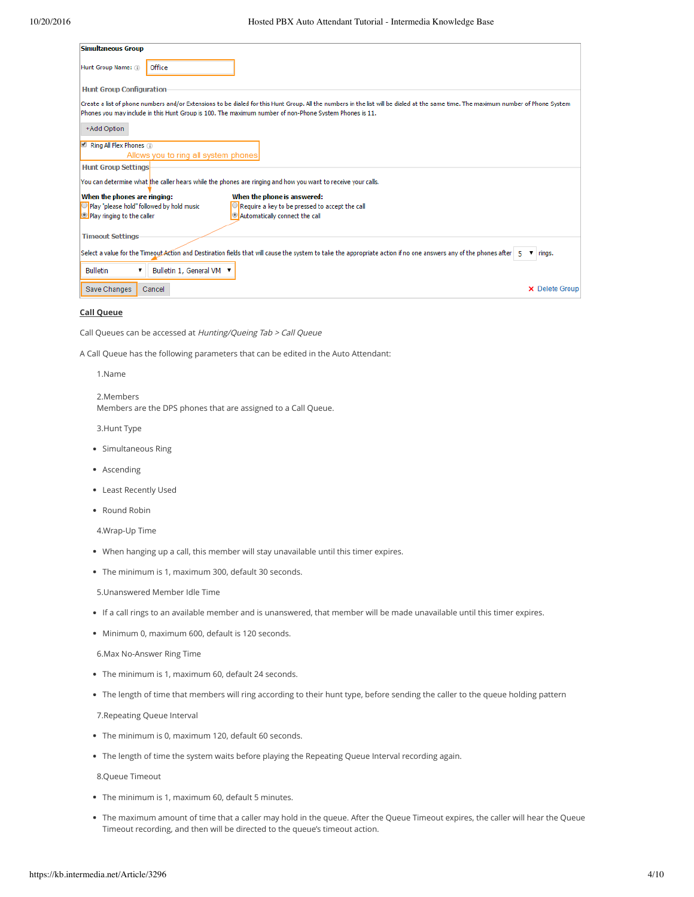| <b>Simultaneous Group</b>                                                                                                                                                                                                                                                                    |
|----------------------------------------------------------------------------------------------------------------------------------------------------------------------------------------------------------------------------------------------------------------------------------------------|
| Office<br>Hunt Group Name: (ii)                                                                                                                                                                                                                                                              |
| <b>Hunt Group Configuration</b>                                                                                                                                                                                                                                                              |
| Create a list of phone numbers and/or Extensions to be dialed for this Hunt Group. All the numbers in the list will be dialed at the same time. The maximum number of Phone System<br>Phones you may include in this Hunt Group is 100. The maximum number of non-Phone System Phones is 11. |
| +Add Option                                                                                                                                                                                                                                                                                  |
| $\Box$ Ring All Flex Phones $\Box$                                                                                                                                                                                                                                                           |
| Allows you to ring all system phones                                                                                                                                                                                                                                                         |
| <b>Hunt Group Settings</b>                                                                                                                                                                                                                                                                   |
| You can determine what the caller hears while the phones are ringing and how you want to receive your calls.                                                                                                                                                                                 |
| When the phones are ringing:<br>When the phone is answered:                                                                                                                                                                                                                                  |
| Play "please hold" followed by hold music<br>$\bigcirc$ Require a key to be pressed to accept the call                                                                                                                                                                                       |
| Automatically connect the call<br>Play ringing to the caller                                                                                                                                                                                                                                 |
| <b>Timeout Settings</b>                                                                                                                                                                                                                                                                      |
|                                                                                                                                                                                                                                                                                              |
| Select a value for the Timeout Action and Destination fields that will cause the system to take the appropriate action if no one answers any of the phones after   5 $\blacktriangledown$   rings.                                                                                           |
| <b>Bulletin</b><br>Bulletin 1, General VM ▼<br>▼                                                                                                                                                                                                                                             |
| Save Changes<br><b>X</b> Delete Group<br>Cancel                                                                                                                                                                                                                                              |

#### **Call Queue**

Call Queues can be accessed at Hunting/Queing Tab <sup>&</sup>gt; Call Queue

A Call Queue has the following parameters that can be edited in the Auto Attendant:

1.Name

2.Members Members are the DPS phones that are assigned to a Call Queue.

3.Hunt Type

- Simultaneous Ring
- Ascending
- Least Recently Used
- Round Robin

4.Wrap-Up Time

- When hanging up a call, this member will stay unavailable until this timer expires.
- The minimum is 1, maximum 300, default 30 seconds.

5.Unanswered Member Idle Time

- If a call rings to an available member and is unanswered, that member will be made unavailable until this timer expires.
- Minimum 0, maximum 600, default is 120 seconds.

6.Max No-Answer Ring Time

- The minimum is 1, maximum 60, default 24 seconds.
- The length of time that members will ring according to their hunt type, before sending the caller to the queue holding pattern

7.Repeating Queue Interval

- The minimum is 0, maximum 120, default 60 seconds.
- The length of time the system waits before playing the Repeating Queue Interval recording again.

8.Queue Timeout

- The minimum is 1, maximum 60, default 5 minutes.
- The maximum amount of time that a caller may hold in the queue. After the Queue Timeout expires, the caller will hear the Queue Timeout recording, and then will be directed to the queue's timeout action.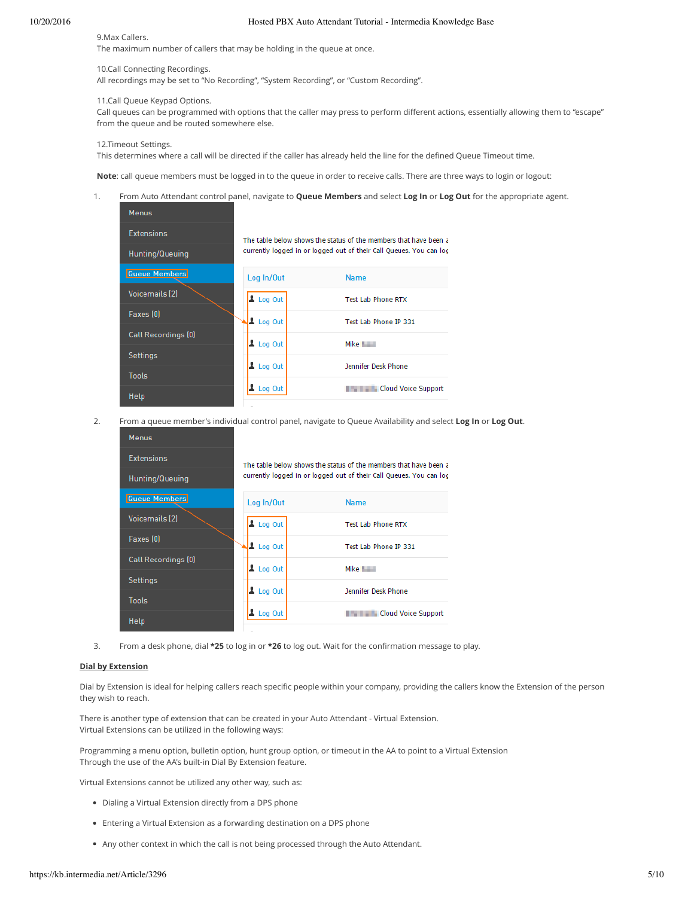#### 9.Max Callers.

The maximum number of callers that may be holding in the queue at once.

#### 10.Call Connecting Recordings.

All recordings may be set to "No Recording", "System Recording", or "Custom Recording".

## 11.Call Queue Keypad Options.

Call queues can be programmed with options that the caller may press to perform different actions, essentially allowing them to "escape" from the queue and be routed somewhere else.

#### 12.Timeout Settings.

This determines where a call will be directed if the caller has already held the line for the defined Queue Timeout time.

**Note**: call queue members must be logged in to the queue in order to receive calls. There are three ways to login or logout:

## 1. From Auto Attendant control panel, navigate to **Queue Members** and select **Log In** or **Log Out** for the appropriate agent.

| <b>Menus</b>          |                       |                                                                     |
|-----------------------|-----------------------|---------------------------------------------------------------------|
| <b>Extensions</b>     |                       | The table below shows the status of the members that have been a    |
| Hunting/Queuing       |                       | currently logged in or logged out of their Call Queues. You can log |
| Queue Members         | Log In/Out            | <b>Name</b>                                                         |
| <b>Voicemails [2]</b> | Log Out               | Test Lab Phone RTX                                                  |
| Faxes [0]             | $\Delta$ Log Out      | Test Lab Phone IP 331                                               |
| Call Recordings (0)   | $\frac{1}{2}$ Log Out | Mike <b>Land</b>                                                    |
| <b>Settings</b>       |                       |                                                                     |
| Tools                 | $\Delta$ Log Out      | Jennifer Desk Phone                                                 |
| Help                  | $\Delta$ Log Out      | <b>The Cloud Voice Support</b>                                      |

2. From a queue member's individual control panel, navigate to Queue Availability and select **Log In** or **Log Out**.

| <b>Menus</b>          |                       |                                                                     |
|-----------------------|-----------------------|---------------------------------------------------------------------|
| Extensions            |                       | The table below shows the status of the members that have been a    |
| Hunting/Queuing       |                       | currently logged in or logged out of their Call Queues. You can log |
| Queue Members         | Log In/Out            | <b>Name</b>                                                         |
| <b>Voicemails [2]</b> | Log Out               | <b>Test Lab Phone RTX</b>                                           |
| Faxes [0]             | Log Out               | Test Lab Phone IP 331                                               |
| Call Recordings (0)   | $\frac{1}{2}$ Log Out | Mike <b>Letter</b>                                                  |
| <b>Settings</b>       | $\frac{1}{2}$ Log Out | Jennifer Desk Phone                                                 |
| <b>Tools</b>          |                       |                                                                     |
| Help                  | $\perp$ Log Out       | <b>Example 2</b> Cloud Voice Support                                |

3. From a desk phone, dial **\*25** to log in or **\*26** to log out. Wait for the confirmation message to play.

# **Dial by Extension**

Dial by Extension is ideal for helping callers reach specific people within your company, providing the callers know the Extension of the person they wish to reach.

There is another type of extension that can be created in your Auto Attendant - Virtual Extension. Virtual Extensions can be utilized in the following ways:

Programming a menu option, bulletin option, hunt group option, or timeout in the AA to point to a Virtual Extension Through the use of the AA's built-in Dial By Extension feature.

Virtual Extensions cannot be utilized any other way, such as:

- Dialing a Virtual Extension directly from a DPS phone
- Entering a Virtual Extension as a forwarding destination on a DPS phone
- Any other context in which the call is not being processed through the Auto Attendant.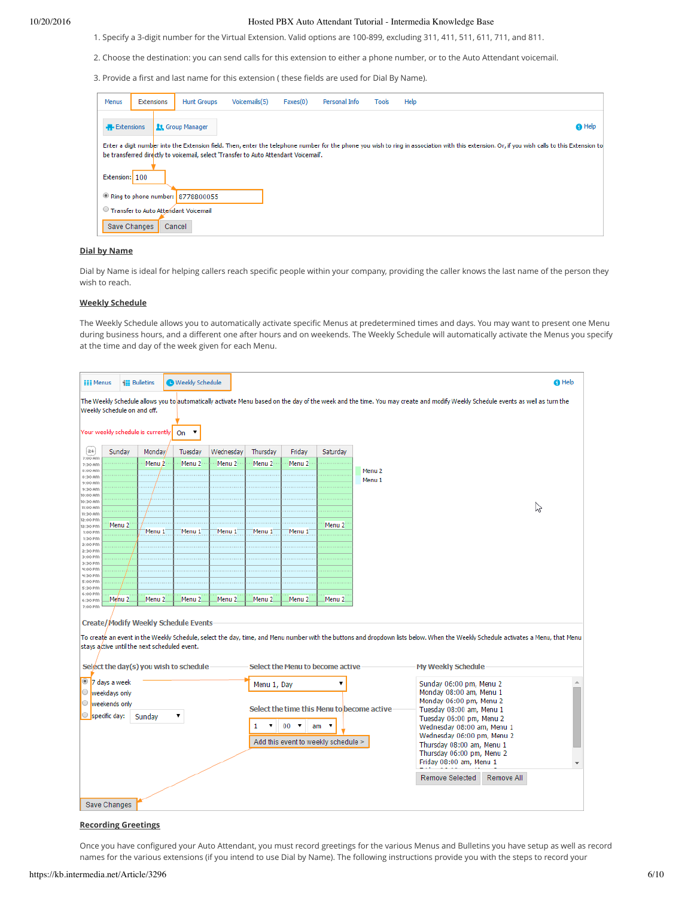- 1. Specify a 3-digit number for the Virtual Extension. Valid options are 100-899, excluding 311, 411, 511, 611, 711, and 811.
- 2. Choose the destination: you can send calls for this extension to either a phone number, or to the Auto Attendant voicemail.

3. Provide a first and last name for this extension ( these fields are used for Dial By Name).

| Menus |                   | Extensions     | <b>Hunt Groups</b>                   | Voicemails(5)                                                                        | Faxes(0) | Personal Info | <b>Tools</b> | Help                                                                                                                                                                                          |               |
|-------|-------------------|----------------|--------------------------------------|--------------------------------------------------------------------------------------|----------|---------------|--------------|-----------------------------------------------------------------------------------------------------------------------------------------------------------------------------------------------|---------------|
|       | <b>Extensions</b> |                | <b>21 Group Manager</b>              |                                                                                      |          |               |              |                                                                                                                                                                                               | <b>O</b> Help |
|       |                   |                |                                      | be transferred directly to voicemail, select 'Transfer to Auto Attendant Voicemail', |          |               |              | Enter a digit number into the Extension field. Then, enter the telephone number for the phone you wish to ring in association with this extension. Or, if you wish calls to this Extension to |               |
|       |                   | Extension: 100 |                                      |                                                                                      |          |               |              |                                                                                                                                                                                               |               |
|       |                   |                | Ring to phone number: 8778800055     |                                                                                      |          |               |              |                                                                                                                                                                                               |               |
|       |                   |                | Transfer to Auto Attendant Voicemail |                                                                                      |          |               |              |                                                                                                                                                                                               |               |
|       |                   | Save Changes   | Cancel                               |                                                                                      |          |               |              |                                                                                                                                                                                               |               |

## **Dial by Name**

Dial by Name is ideal for helping callers reach specific people within your company, providing the caller knows the last name of the person they wish to reach.

## **Weekly Schedule**

The Weekly Schedule allows you to automatically activate specific Menus at predetermined times and days. You may want to present one Menu during business hours, and a different one after hours and on weekends. The Weekly Schedule will automatically activate the Menus you specify at the time and day of the week given for each Menu.

| <b>EEE Menus</b>                                                                                                                                                                                                                                                                                                                                                                                                                                                                                             |                                      | <b>El Bulletins</b>                                                                                                                   | <b>O</b> Weekly Schedule |                   |                   |                   |                                  |                   |                                                                                                                                                                                                        |  | <b>O</b> Help |  |
|--------------------------------------------------------------------------------------------------------------------------------------------------------------------------------------------------------------------------------------------------------------------------------------------------------------------------------------------------------------------------------------------------------------------------------------------------------------------------------------------------------------|--------------------------------------|---------------------------------------------------------------------------------------------------------------------------------------|--------------------------|-------------------|-------------------|-------------------|----------------------------------|-------------------|--------------------------------------------------------------------------------------------------------------------------------------------------------------------------------------------------------|--|---------------|--|
|                                                                                                                                                                                                                                                                                                                                                                                                                                                                                                              | Weekly Schedule on and off.          |                                                                                                                                       |                          |                   |                   |                   |                                  |                   | The Weekly Schedule allows you to automatically activate Menu based on the day of the week and the time. You may create and modify Weekly Schedule events as well as turn the                          |  |               |  |
|                                                                                                                                                                                                                                                                                                                                                                                                                                                                                                              |                                      | Your weekly schedule is currently                                                                                                     | On $\sqrt{ }$            |                   |                   |                   |                                  |                   |                                                                                                                                                                                                        |  |               |  |
| z4                                                                                                                                                                                                                                                                                                                                                                                                                                                                                                           | Sunday                               | Monday/                                                                                                                               | Tuesday                  | Wednesday         | Thursday          | Friday            | Saturday                         |                   |                                                                                                                                                                                                        |  |               |  |
| $7:00$ AM<br>7:30 Am                                                                                                                                                                                                                                                                                                                                                                                                                                                                                         |                                      | Menu <sub>2</sub>                                                                                                                     | Menu <sub>2</sub>        | Menu 2            | Menu <sub>2</sub> | Menu <sub>2</sub> |                                  |                   |                                                                                                                                                                                                        |  |               |  |
| 8:00 Am<br>8:30 AM                                                                                                                                                                                                                                                                                                                                                                                                                                                                                           |                                      | $\cdots$                                                                                                                              |                          |                   |                   |                   |                                  | Menu <sub>2</sub> |                                                                                                                                                                                                        |  |               |  |
| 9:00 AM                                                                                                                                                                                                                                                                                                                                                                                                                                                                                                      |                                      | $-11$                                                                                                                                 |                          |                   |                   |                   |                                  | Menu <sub>1</sub> |                                                                                                                                                                                                        |  |               |  |
| $9:30$ Am<br>10:00 AM                                                                                                                                                                                                                                                                                                                                                                                                                                                                                        |                                      |                                                                                                                                       |                          |                   |                   |                   |                                  |                   |                                                                                                                                                                                                        |  |               |  |
| 10:30 Am                                                                                                                                                                                                                                                                                                                                                                                                                                                                                                     |                                      |                                                                                                                                       |                          |                   |                   |                   |                                  |                   |                                                                                                                                                                                                        |  |               |  |
| 11:00 AM<br>$11:30$ AM                                                                                                                                                                                                                                                                                                                                                                                                                                                                                       |                                      |                                                                                                                                       |                          |                   |                   |                   |                                  |                   |                                                                                                                                                                                                        |  | じ             |  |
| 12:00 PM                                                                                                                                                                                                                                                                                                                                                                                                                                                                                                     |                                      |                                                                                                                                       |                          |                   |                   |                   |                                  |                   |                                                                                                                                                                                                        |  |               |  |
| 12:30 PM                                                                                                                                                                                                                                                                                                                                                                                                                                                                                                     | Menu <sub>2</sub>                    | Menu 1                                                                                                                                | Menu 1                   | 'Menu 1           | Menu 1            | Menu 1            | Menu <sub>2</sub>                |                   |                                                                                                                                                                                                        |  |               |  |
| 1:00 PM<br>1:30 Pm                                                                                                                                                                                                                                                                                                                                                                                                                                                                                           |                                      |                                                                                                                                       |                          |                   |                   |                   |                                  |                   |                                                                                                                                                                                                        |  |               |  |
| 2:00 PM                                                                                                                                                                                                                                                                                                                                                                                                                                                                                                      |                                      |                                                                                                                                       |                          |                   |                   |                   |                                  |                   |                                                                                                                                                                                                        |  |               |  |
| 2:30 PM<br>3:00 PM                                                                                                                                                                                                                                                                                                                                                                                                                                                                                           |                                      |                                                                                                                                       |                          |                   |                   |                   |                                  |                   |                                                                                                                                                                                                        |  |               |  |
| 3:30 PM                                                                                                                                                                                                                                                                                                                                                                                                                                                                                                      |                                      |                                                                                                                                       |                          |                   |                   |                   |                                  |                   |                                                                                                                                                                                                        |  |               |  |
| <b>N:00 PTN</b><br>4:30 Pm                                                                                                                                                                                                                                                                                                                                                                                                                                                                                   |                                      |                                                                                                                                       |                          |                   |                   |                   |                                  |                   |                                                                                                                                                                                                        |  |               |  |
| 5:00 PM                                                                                                                                                                                                                                                                                                                                                                                                                                                                                                      |                                      |                                                                                                                                       |                          |                   |                   |                   |                                  |                   |                                                                                                                                                                                                        |  |               |  |
| 5:30 PM<br>6:00 PM                                                                                                                                                                                                                                                                                                                                                                                                                                                                                           |                                      |                                                                                                                                       |                          |                   |                   |                   |                                  |                   |                                                                                                                                                                                                        |  |               |  |
| 6:30 Pm                                                                                                                                                                                                                                                                                                                                                                                                                                                                                                      | Menu <sub>2</sub>                    | Menu <sub>2</sub>                                                                                                                     | Menu <sub>2</sub>        | Menu <sub>2</sub> | Menu <sub>2</sub> | Menu <sub>2</sub> | Menu <sub>2</sub>                |                   |                                                                                                                                                                                                        |  |               |  |
|                                                                                                                                                                                                                                                                                                                                                                                                                                                                                                              |                                      | <b>Create/Modify Weekly Schedule Events</b><br>stays active until the next scheduled event.<br>Select the day(s) you wish to schedule |                          |                   |                   |                   | Select the Menu to become active |                   | To creaté an event in the Weekly Schedule, select the day, time, and Menu number with the buttons and dropdown lists below. When the Weekly Schedule activates a Menu, that Menu<br>My Weekly Schedule |  |               |  |
|                                                                                                                                                                                                                                                                                                                                                                                                                                                                                                              | <sup>1</sup> 7 days a week           |                                                                                                                                       |                          |                   | Menu 1, Day       |                   |                                  |                   | Sunday 06:00 pm, Menu 2                                                                                                                                                                                |  |               |  |
| $\circ$                                                                                                                                                                                                                                                                                                                                                                                                                                                                                                      |                                      |                                                                                                                                       |                          |                   |                   |                   |                                  |                   |                                                                                                                                                                                                        |  |               |  |
| Monday 08:00 am, Menu 1<br>weekdays only<br>Monday 06:00 pm, Menu 2<br>$\circ$<br>weekends only<br>Select the time this Menu to become active<br>Tuesday 08:00 am, Menu 1<br>$\circ$<br>specific day:<br>Sunday<br>7<br>Tuesday 06:00 pm, Menu 2<br>$00 \times$<br>▼<br>1<br>$am \times$<br>Wednesday 08:00 am, Menu 1<br>Wednesday 06:00 pm, Menu 2<br>Add this event to weekly schedule ><br>Thursday 08:00 am, Menu 1<br>Thursday 06:00 pm, Menu 2<br>Friday 08:00 am, Menu 1<br>$\overline{\phantom{a}}$ |                                      |                                                                                                                                       |                          |                   |                   |                   |                                  |                   |                                                                                                                                                                                                        |  |               |  |
|                                                                                                                                                                                                                                                                                                                                                                                                                                                                                                              | <b>Remove Selected</b><br>Remove All |                                                                                                                                       |                          |                   |                   |                   |                                  |                   |                                                                                                                                                                                                        |  |               |  |
|                                                                                                                                                                                                                                                                                                                                                                                                                                                                                                              |                                      |                                                                                                                                       |                          |                   |                   |                   |                                  |                   |                                                                                                                                                                                                        |  |               |  |
|                                                                                                                                                                                                                                                                                                                                                                                                                                                                                                              | <b>Save Changes</b>                  |                                                                                                                                       |                          |                   |                   |                   |                                  |                   |                                                                                                                                                                                                        |  |               |  |

## **Recording Greetings**

Once you have configured your Auto Attendant, you must record greetings for the various Menus and Bulletins you have setup as well as record names for the various extensions (if you intend to use Dial by Name). The following instructions provide you with the steps to record your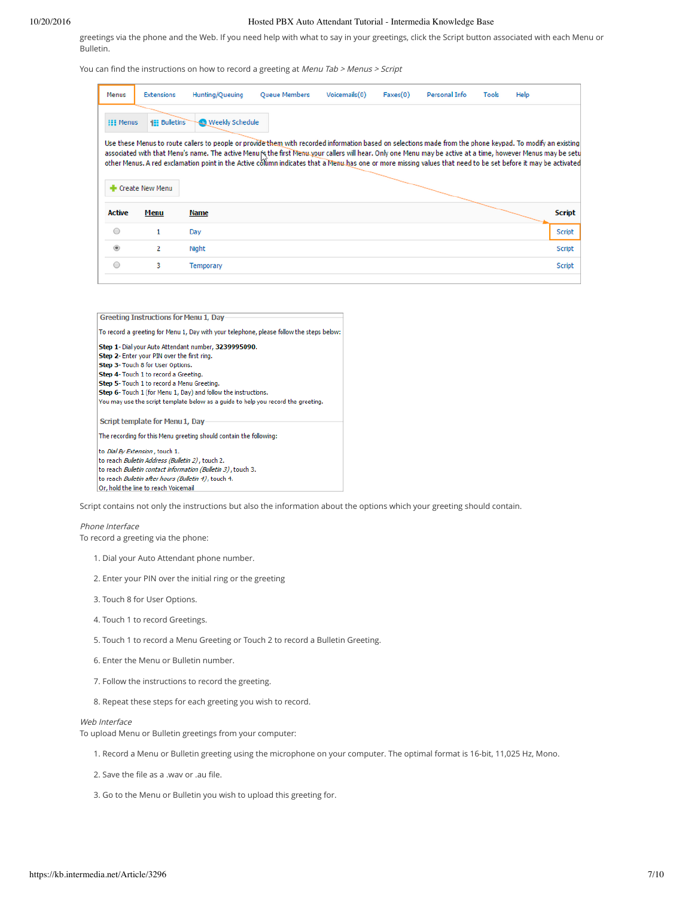greetings via the phone and the Web. If you need help with what to say in your greetings, click the Script button associated with each Menu or Bulletin.

You can find the instructions on how to record a greeting at Menu Tab > Menus > Script

| Menus            | <b>Extensions</b> | Hunting/Queuing                                                                                                                                                                                                                                                                                                                                                                                                                                                                            | <b>Oueue Members</b> | Voicemails(0) | Faxes(0) | Personal Info | <b>Tools</b> | Help |               |
|------------------|-------------------|--------------------------------------------------------------------------------------------------------------------------------------------------------------------------------------------------------------------------------------------------------------------------------------------------------------------------------------------------------------------------------------------------------------------------------------------------------------------------------------------|----------------------|---------------|----------|---------------|--------------|------|---------------|
| <b>EEE Menus</b> | <b>Bulletins</b>  | <b>Weekly Schedule</b>                                                                                                                                                                                                                                                                                                                                                                                                                                                                     |                      |               |          |               |              |      |               |
|                  | Create New Menu   | Use these Menus to route callers to people or provide them with recorded information based on selections made from the phone keypad. To modify an existing<br>associated with that Menu's name. The active Menurs the first Menu your callers will hear. Only one Menu may be active at a time, however Menus may be setu<br>other Menus. A red exclamation point in the Active column indicates that a Menu has one or more missing values that need to be set before it may be activated |                      |               |          |               |              |      |               |
| <b>Active</b>    | Menu              | Name                                                                                                                                                                                                                                                                                                                                                                                                                                                                                       |                      |               |          |               |              |      | <b>Script</b> |
| $\bigcirc$       | 1                 | Day                                                                                                                                                                                                                                                                                                                                                                                                                                                                                        |                      |               |          |               |              |      | <b>Script</b> |
| $\circledcirc$   | 2                 | Night                                                                                                                                                                                                                                                                                                                                                                                                                                                                                      |                      |               |          |               |              |      | Script        |
|                  | 3                 | Temporary                                                                                                                                                                                                                                                                                                                                                                                                                                                                                  |                      |               |          |               |              |      | <b>Script</b> |

| <b>Greeting Instructions for Menu 1, Day</b>                                             |
|------------------------------------------------------------------------------------------|
| To record a greeting for Menu 1, Day with your telephone, please follow the steps below: |
| Step 1- Dial your Auto Attendant number, 3239995090.                                     |
| Step 2- Enter your PIN over the first ring.                                              |
| <b>Step 3- Touch 8 for User Options.</b>                                                 |
| Step 4- Touch 1 to record a Greeting.                                                    |
| Step 5- Touch 1 to record a Menu Greeting.                                               |
| Step 6- Touch 1 (for Menu 1, Day) and follow the instructions.                           |
| You may use the script template below as a guide to help you record the greeting.        |
| Script template for Menu 1, Day                                                          |
| The recording for this Menu greeting should contain the following:                       |
| to <i>Dial By Extension</i> , touch 1.                                                   |
| to reach <i>Bulletin Address (Bulletin 2)</i> , touch 2,                                 |
| to reach <i>Bulletin contact information (Bulletin 3)</i> , touch 3.                     |
| to reach Bulletin after hours (Bulletin 4), touch 4.                                     |
| Or, hold the line to reach Voicemail                                                     |

Script contains not only the instructions but also the information about the options which your greeting should contain.

#### Phone Interface

To record a greeting via the phone:

- 1. Dial your Auto Attendant phone number.
- 2. Enter your PIN over the initial ring or the greeting
- 3. Touch 8 for User Options.
- 4. Touch 1 to record Greetings.
- 5. Touch 1 to record a Menu Greeting or Touch 2 to record a Bulletin Greeting.
- 6. Enter the Menu or Bulletin number.
- 7. Follow the instructions to record the greeting.
- 8. Repeat these steps for each greeting you wish to record.

#### Web Interface

To upload Menu or Bulletin greetings from your computer:

- 1. Record a Menu or Bulletin greeting using the microphone on your computer. The optimal format is 16-bit, 11,025 Hz, Mono.
- 2. Save the file as a .wav or .au file.
- 3. Go to the Menu or Bulletin you wish to upload this greeting for.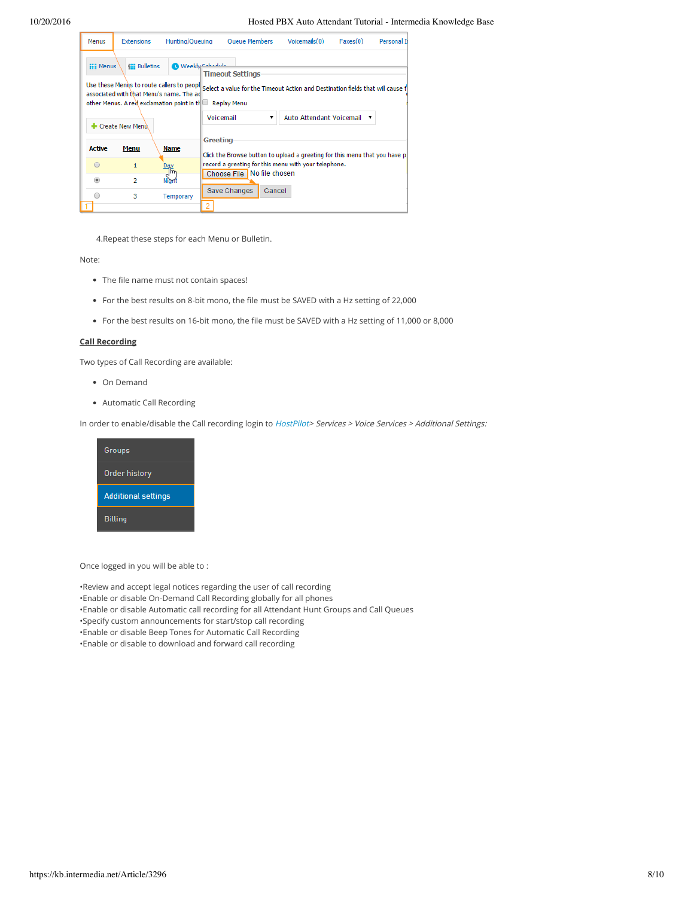| Menus            | <b>Extensions</b>      | Hunting/Queuing                                                                                                                                                       | Queue Members                                                                                                                   |        | Voicemails(0)            | Faxes(0) | Personal II |
|------------------|------------------------|-----------------------------------------------------------------------------------------------------------------------------------------------------------------------|---------------------------------------------------------------------------------------------------------------------------------|--------|--------------------------|----------|-------------|
| <b>EEE</b> Menus | <b>IEE</b> Bulletins   | <sup>1</sup> Weeklyn Calculus<br>Use these Menus to route callers to peopl<br>associated with that Menu's name. The ad<br>other Menus. A red exclamation point in the | <b>Timeout Settings</b><br>Select a value for the Timeout Action and Destination fields that will cause t<br><b>Replay Menu</b> |        |                          |          |             |
|                  | <b>Create New Menu</b> |                                                                                                                                                                       | Voicemail                                                                                                                       |        | Auto Attendant Voicemail |          |             |
| <b>Active</b>    | Menu                   | Name                                                                                                                                                                  | Greeting<br>Click the Browse button to upload a greeting for this menu that you have p                                          |        |                          |          |             |
| ∩                | 1                      | ĥ۳                                                                                                                                                                    | record a greeting for this menu with your telephone.                                                                            |        |                          |          |             |
| ⋒                | $\overline{2}$         |                                                                                                                                                                       | Choose File No file chosen                                                                                                      |        |                          |          |             |
|                  | з                      | <b>Temporary</b>                                                                                                                                                      | Save Changes                                                                                                                    | Cancel |                          |          |             |

4.Repeat these steps for each Menu or Bulletin.

#### Note:

- The file name must not contain spaces!
- For the best results on 8-bit mono, the file must be SAVED with a Hz setting of 22,000
- For the best results on 16-bit mono, the file must be SAVED with a Hz setting of 11,000 or 8,000

# **Call Recording**

Two types of Call Recording are available:

- On Demand
- Automatic Call Recording

In order to enable/disable the Call recording login to [HostPilot](https://hosting.intermedia.net/)> Services > Voice Services > Additional Settings:



Once logged in you will be able to :

•Review and accept legal notices regarding the user of call recording •Enable or disable On-Demand Call Recording globally for all phones •Enable or disable Automatic call recording for all Attendant Hunt Groups and Call Queues •Specify custom announcements for start/stop call recording •Enable or disable Beep Tones for Automatic Call Recording •Enable or disable to download and forward call recording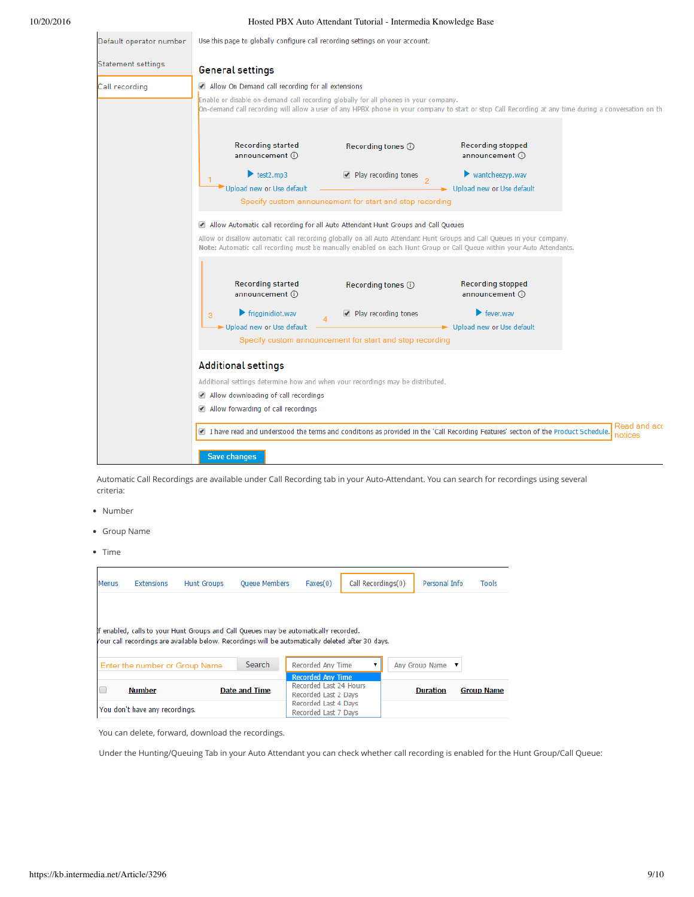| Default operator number | Use this page to globally configure call recording settings on your account.                                                                                                                                                                                                                                                         |                                                                                                                                                                                                                                              |                                              |  |  |  |  |  |  |  |  |
|-------------------------|--------------------------------------------------------------------------------------------------------------------------------------------------------------------------------------------------------------------------------------------------------------------------------------------------------------------------------------|----------------------------------------------------------------------------------------------------------------------------------------------------------------------------------------------------------------------------------------------|----------------------------------------------|--|--|--|--|--|--|--|--|
| Statement settings      | <b>General settings</b>                                                                                                                                                                                                                                                                                                              |                                                                                                                                                                                                                                              |                                              |  |  |  |  |  |  |  |  |
| Call recording          | Allow On Demand call recording for all extensions                                                                                                                                                                                                                                                                                    |                                                                                                                                                                                                                                              |                                              |  |  |  |  |  |  |  |  |
|                         |                                                                                                                                                                                                                                                                                                                                      | Enable or disable on-demand call recording globally for all phones in your company.<br>On-demand call recording will allow a user of any HPBX phone in your company to start or stop Call Recording at any time during a conversation on the |                                              |  |  |  |  |  |  |  |  |
|                         | <b>Recording started</b><br>announcement (i)                                                                                                                                                                                                                                                                                         | Recording tones ①                                                                                                                                                                                                                            | <b>Recording stopped</b><br>announcement (i) |  |  |  |  |  |  |  |  |
|                         | test <sub>2</sub> .mp3                                                                                                                                                                                                                                                                                                               | Play recording tones                                                                                                                                                                                                                         | $\blacktriangleright$ wantcheezyp.wav        |  |  |  |  |  |  |  |  |
|                         | Upload new or Use default                                                                                                                                                                                                                                                                                                            |                                                                                                                                                                                                                                              | Upload new or Use default                    |  |  |  |  |  |  |  |  |
|                         | Specify custom announcement for start and stop recording                                                                                                                                                                                                                                                                             |                                                                                                                                                                                                                                              |                                              |  |  |  |  |  |  |  |  |
|                         | Allow Automatic call recording for all Auto Attendant Hunt Groups and Call Queues<br>Allow or disallow automatic call recording globally on all Auto Attendant Hunt Groups and Call Queues in your company.<br>Note: Automatic call recording must be manually enabled on each Hunt Group or Call Queue within your Auto Attendants. |                                                                                                                                                                                                                                              |                                              |  |  |  |  |  |  |  |  |
|                         | <b>Recording started</b><br>announcement (i)                                                                                                                                                                                                                                                                                         | Recording tones (i)                                                                                                                                                                                                                          | <b>Recording stopped</b><br>announcement (i) |  |  |  |  |  |  |  |  |
|                         | $\blacktriangleright$ frigginidiot.wav<br>3                                                                                                                                                                                                                                                                                          | Play recording tones                                                                                                                                                                                                                         | $\blacktriangleright$ fever way              |  |  |  |  |  |  |  |  |
|                         | Upload new or Use default                                                                                                                                                                                                                                                                                                            | Specify custom announcement for start and stop recording                                                                                                                                                                                     | Upload new or Use default                    |  |  |  |  |  |  |  |  |
|                         | <b>Additional settings</b>                                                                                                                                                                                                                                                                                                           |                                                                                                                                                                                                                                              |                                              |  |  |  |  |  |  |  |  |
|                         | Additional settings determine how and when your recordings may be distributed.                                                                                                                                                                                                                                                       |                                                                                                                                                                                                                                              |                                              |  |  |  |  |  |  |  |  |
|                         | Allow downloading of call recordings                                                                                                                                                                                                                                                                                                 |                                                                                                                                                                                                                                              |                                              |  |  |  |  |  |  |  |  |
|                         | Allow forwarding of call recordings                                                                                                                                                                                                                                                                                                  |                                                                                                                                                                                                                                              |                                              |  |  |  |  |  |  |  |  |
|                         | Read and acc<br>1 I have read and understood the terms and conditions as provided in the 'Call Recording Features' section of the Product Schedule.<br>notices                                                                                                                                                                       |                                                                                                                                                                                                                                              |                                              |  |  |  |  |  |  |  |  |
|                         | Save changes                                                                                                                                                                                                                                                                                                                         |                                                                                                                                                                                                                                              |                                              |  |  |  |  |  |  |  |  |

Automatic Call Recordings are available under Call Recording tab in your Auto-Attendant. You can search for recordings using several criteria:

- Number
- Group Name
- Time

| Menus | <b>Extensions</b>              | <b>Hunt Groups</b>                                                                                                                                                                        | <b>Oueue Members</b>                                                       | Faxes(0)                                     | Call Recordings(0) | Personal Info  |                   | Tools |
|-------|--------------------------------|-------------------------------------------------------------------------------------------------------------------------------------------------------------------------------------------|----------------------------------------------------------------------------|----------------------------------------------|--------------------|----------------|-------------------|-------|
|       |                                | If enabled, calls to your Hunt Groups and Call Queues may be automatically recorded.<br>Your call recordings are available below. Recordings will be automatically deleted after 30 days. |                                                                            |                                              |                    |                |                   |       |
|       |                                | Enter the number or Group Name                                                                                                                                                            | Search                                                                     | <b>Recorded Any Time</b>                     |                    | Any Group Name | ▼                 |       |
|       | <b>Number</b>                  | <b>Date and Time</b>                                                                                                                                                                      | <b>Recorded Any Time</b><br>Recorded Last 24 Hours<br>Recorded Last 2 Days |                                              | <b>Duration</b>    |                | <b>Group Name</b> |       |
|       | You don't have any recordings. |                                                                                                                                                                                           |                                                                            | Recorded Last 4 Days<br>Recorded Last 7 Days |                    |                |                   |       |

You can delete, forward, download the recordings.

Under the Hunting/Queuing Tab in your Auto Attendant you can check whether call recording is enabled for the Hunt Group/Call Queue: